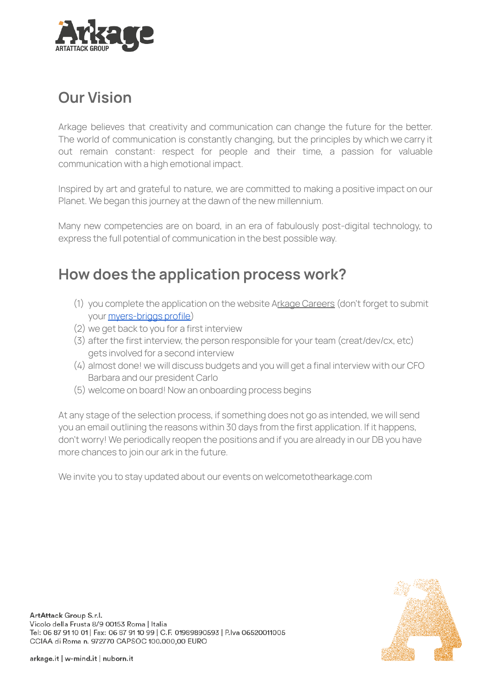

# **Our Vision**

Arkage believes that creativity and communication can change the future for the better. The world of communication is constantly changing, but the principles by which we carry it out remain constant: respect for people and their time, a passion for valuable communication with a high emotional impact.

Inspired by art and grateful to nature, we are committed to making a positive impact on our Planet. We began this journey at the dawn of the new millennium.

Many new competencies are on board, in an era of fabulously post-digital technology, to express the full potential of communication in the best possible way.

# **How does the application process work?**

- (1) you complete the application on the website Arkage [Careers](http://arkage.careers) (don't forget to submit your [myers-briggs](https://www.16personalities.com/free-personality-test) profile)
- (2) we get back to you for a first interview
- (3) after the first interview, the person responsible for your team (creat/dev/cx, etc) gets involved for a second interview
- (4) almost done! we will discuss budgets and you will get a final interview with our CFO Barbara and our president Carlo
- (5) welcome on board! Now an onboarding process begins

At any stage of the selection process, if something does not go as intended, we will send you an email outlining the reasons within 30 days from the first application. If it happens, don't worry! We periodically reopen the positions and if you are already in our DB you have more chances to join our ark in the future.

We invite you to stay updated about our events on welcometothearkage.com

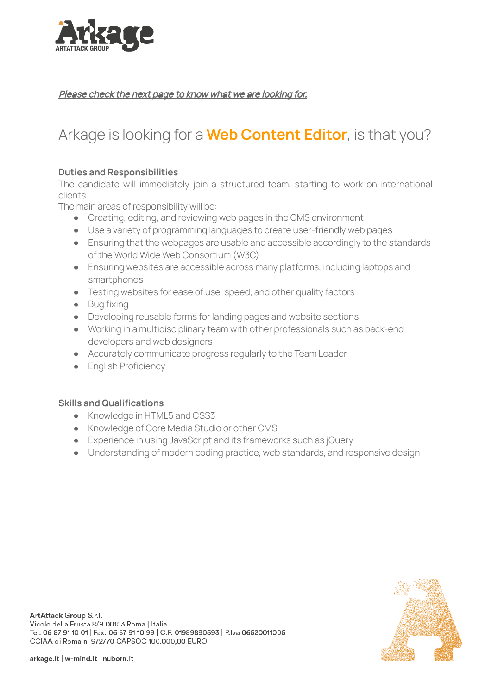

Please check the next page to know what we are looking for.

## Arkage is looking for a **Web Content Editor**, is that you?

### **Duties and Responsibilities**

The candidate will immediately join a structured team, starting to work on international clients.

The main areas of responsibility will be:

- Creating, editing, and reviewing web pages in the CMS environment
- Use a variety of programming languages to create user-friendly web pages
- Ensuring that the webpages are usable and accessible accordingly to the standards of the World Wide Web Consortium (W3C)
- Ensuring websites are accessible across many platforms, including laptops and smartphones
- Testing websites for ease of use, speed, and other quality factors
- Bug fixing
- Developing reusable forms for landing pages and website sections
- Working in a multidisciplinary team with other professionals such as back-end developers and web designers
- Accurately communicate progress regularly to the Team Leader
- English Proficiency

#### **Skills and Qualifications**

- Knowledge in HTML5 and CSS3
- Knowledge of Core Media Studio or other CMS
- Experience in using JavaScript and its frameworks such as jQuery
- Understanding of modern coding practice, web standards, and responsive design